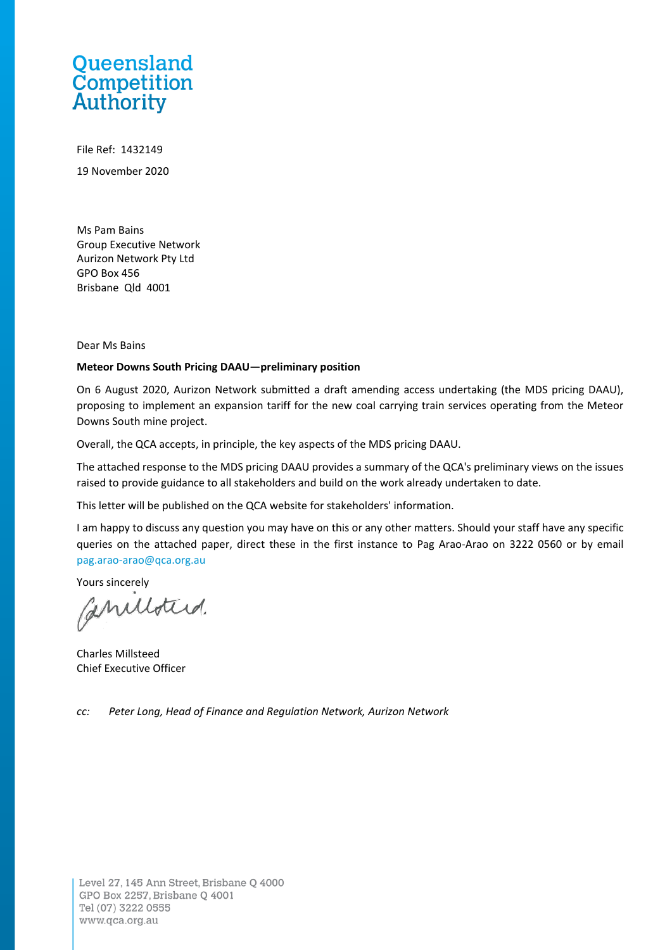# Queensland **Competition**<br>Authority

File Ref: 1432149 19 November 2020

Ms Pam Bains Group Executive Network Aurizon Network Pty Ltd GPO Box 456 Brisbane Qld 4001

Dear Ms Bains

#### **Meteor Downs South Pricing DAAU—preliminary position**

On 6 August 2020, Aurizon Network submitted a draft amending access undertaking (the MDS pricing DAAU), proposing to implement an expansion tariff for the new coal carrying train services operating from the Meteor Downs South mine project.

Overall, the QCA accepts, in principle, the key aspects of the MDS pricing DAAU.

The attached response to the MDS pricing DAAU provides a summary of the QCA's preliminary views on the issues raised to provide guidance to all stakeholders and build on the work already undertaken to date.

This letter will be published on the QCA website for stakeholders' information.

I am happy to discuss any question you may have on this or any other matters. Should your staff have any specific queries on the attached paper, direct these in the first instance to Pag Arao-Arao on 3222 0560 or by email [pag.arao-arao@qca.org.au](mailto:pag.arao-arao@qca.org.au)

Yours sincerely

Canilloters.

Charles Millsteed Chief Executive Officer

*cc: Peter Long, Head of Finance and Regulation Network, Aurizon Network*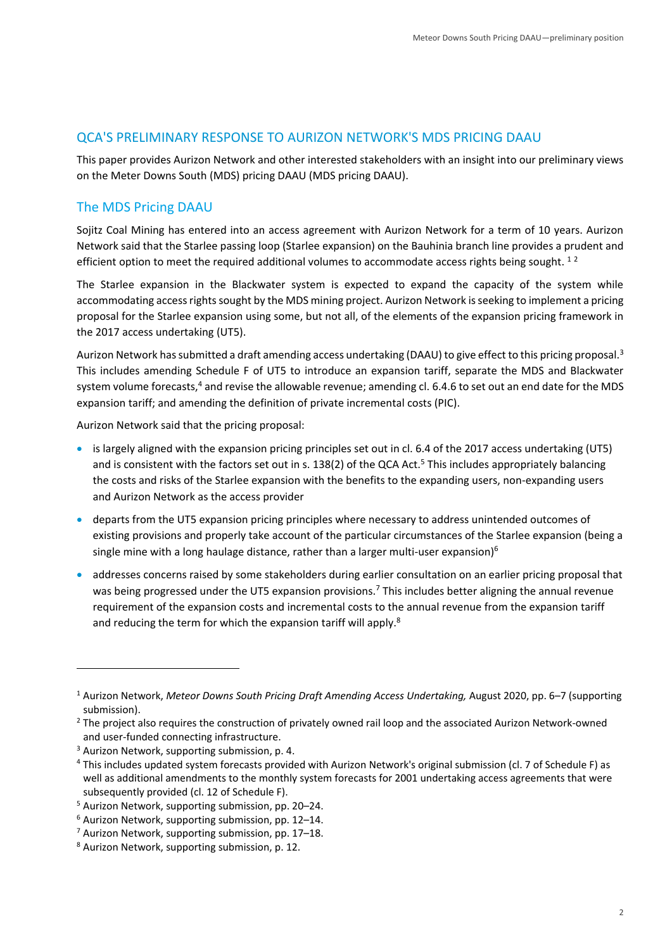### QCA'S PRELIMINARY RESPONSE TO AURIZON NETWORK'S MDS PRICING DAAU

This paper provides Aurizon Network and other interested stakeholders with an insight into our preliminary views on the Meter Downs South (MDS) pricing DAAU (MDS pricing DAAU).

# The MDS Pricing DAAU

Sojitz Coal Mining has entered into an access agreement with Aurizon Network for a term of 10 years. Aurizon Network said that the Starlee passing loop (Starlee expansion) on the Bauhinia branch line provides a prudent and efficient option to meet the required additional volumes to accommodate access rights being sought.  $1^2$ 

The Starlee expansion in the Blackwater system is expected to expand the capacity of the system while accommodating access rights sought by the MDS mining project. Aurizon Network is seeking to implement a pricing proposal for the Starlee expansion using some, but not all, of the elements of the expansion pricing framework in the 2017 access undertaking (UT5).

Aurizon Network has submitted a draft amending access undertaking (DAAU) to give effect to this pricing proposal.<sup>3</sup> This includes amending Schedule F of UT5 to introduce an expansion tariff, separate the MDS and Blackwater system volume forecasts,<sup>4</sup> and revise the allowable revenue; amending cl. 6.4.6 to set out an end date for the MDS expansion tariff; and amending the definition of private incremental costs (PIC).

Aurizon Network said that the pricing proposal:

- is largely aligned with the expansion pricing principles set out in cl. 6.4 of the 2017 access undertaking (UT5) and is consistent with the factors set out in s. 138(2) of the QCA Act.<sup>5</sup> This includes appropriately balancing the costs and risks of the Starlee expansion with the benefits to the expanding users, non-expanding users and Aurizon Network as the access provider
- departs from the UT5 expansion pricing principles where necessary to address unintended outcomes of existing provisions and properly take account of the particular circumstances of the Starlee expansion (being a single mine with a long haulage distance, rather than a larger multi-user expansion) $6$
- addresses concerns raised by some stakeholders during earlier consultation on an earlier pricing proposal that was being progressed under the UT5 expansion provisions.<sup>7</sup> This includes better aligning the annual revenue requirement of the expansion costs and incremental costs to the annual revenue from the expansion tariff and reducing the term for which the expansion tariff will apply.<sup>8</sup>

<sup>1</sup> Aurizon Network, *Meteor Downs South Pricing Draft Amending Access Undertaking,* August 2020, pp. 6–7 (supporting submission).

<sup>&</sup>lt;sup>2</sup> The project also requires the construction of privately owned rail loop and the associated Aurizon Network-owned and user-funded connecting infrastructure.

<sup>&</sup>lt;sup>3</sup> Aurizon Network, supporting submission, p. 4.

<sup>4</sup> This includes updated system forecasts provided with Aurizon Network's original submission (cl. 7 of Schedule F) as well as additional amendments to the monthly system forecasts for 2001 undertaking access agreements that were subsequently provided (cl. 12 of Schedule F).

<sup>5</sup> Aurizon Network, supporting submission, pp. 20–24.

<sup>6</sup> Aurizon Network, supporting submission, pp. 12–14.

<sup>7</sup> Aurizon Network, supporting submission, pp. 17–18.

<sup>8</sup> Aurizon Network, supporting submission, p. 12.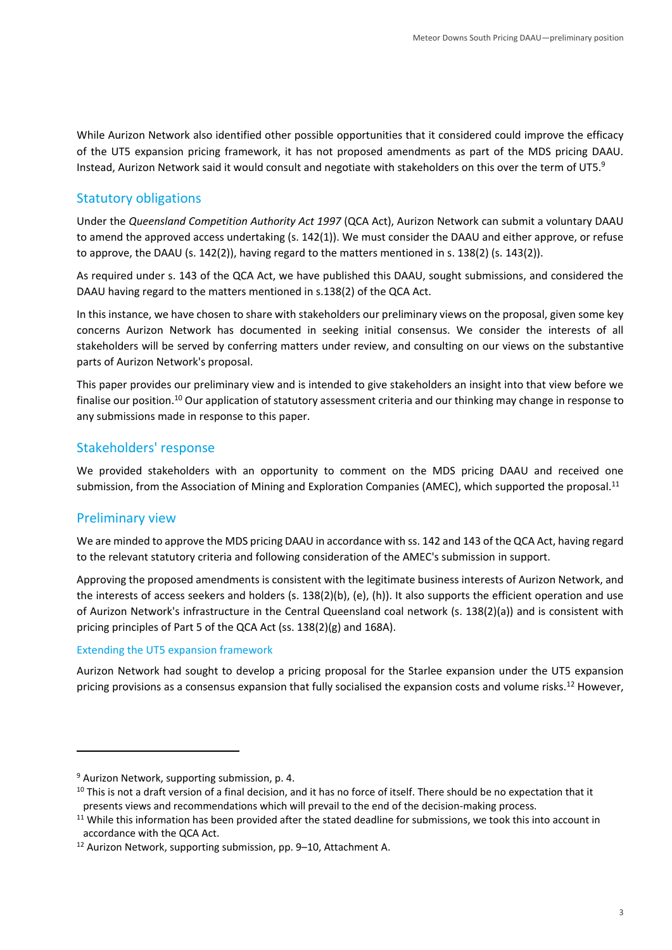While Aurizon Network also identified other possible opportunities that it considered could improve the efficacy of the UT5 expansion pricing framework, it has not proposed amendments as part of the MDS pricing DAAU. Instead, Aurizon Network said it would consult and negotiate with stakeholders on this over the term of UT5.<sup>9</sup>

## Statutory obligations

Under the *Queensland Competition Authority Act 1997* (QCA Act), Aurizon Network can submit a voluntary DAAU to amend the approved access undertaking (s. 142(1)). We must consider the DAAU and either approve, or refuse to approve, the DAAU (s. 142(2)), having regard to the matters mentioned in s. 138(2) (s. 143(2)).

As required under s. 143 of the QCA Act, we have published this DAAU, sought submissions, and considered the DAAU having regard to the matters mentioned in s.138(2) of the QCA Act.

In this instance, we have chosen to share with stakeholders our preliminary views on the proposal, given some key concerns Aurizon Network has documented in seeking initial consensus. We consider the interests of all stakeholders will be served by conferring matters under review, and consulting on our views on the substantive parts of Aurizon Network's proposal.

This paper provides our preliminary view and is intended to give stakeholders an insight into that view before we finalise our position.<sup>10</sup> Our application of statutory assessment criteria and our thinking may change in response to any submissions made in response to this paper.

## Stakeholders' response

We provided stakeholders with an opportunity to comment on the MDS pricing DAAU and received one submission, from the Association of Mining and Exploration Companies (AMEC), which supported the proposal.<sup>11</sup>

# Preliminary view

We are minded to approve the MDS pricing DAAU in accordance with ss. 142 and 143 of the QCA Act, having regard to the relevant statutory criteria and following consideration of the AMEC's submission in support.

Approving the proposed amendments is consistent with the legitimate business interests of Aurizon Network, and the interests of access seekers and holders (s. 138(2)(b), (e), (h)). It also supports the efficient operation and use of Aurizon Network's infrastructure in the Central Queensland coal network (s. 138(2)(a)) and is consistent with pricing principles of Part 5 of the QCA Act (ss. 138(2)(g) and 168A).

#### Extending the UT5 expansion framework

Aurizon Network had sought to develop a pricing proposal for the Starlee expansion under the UT5 expansion pricing provisions as a consensus expansion that fully socialised the expansion costs and volume risks.<sup>12</sup> However,

<sup>9</sup> Aurizon Network, supporting submission, p. 4.

<sup>&</sup>lt;sup>10</sup> This is not a draft version of a final decision, and it has no force of itself. There should be no expectation that it presents views and recommendations which will prevail to the end of the decision-making process.

<sup>&</sup>lt;sup>11</sup> While this information has been provided after the stated deadline for submissions, we took this into account in accordance with the QCA Act.

<sup>12</sup> Aurizon Network, supporting submission, pp. 9–10, Attachment A.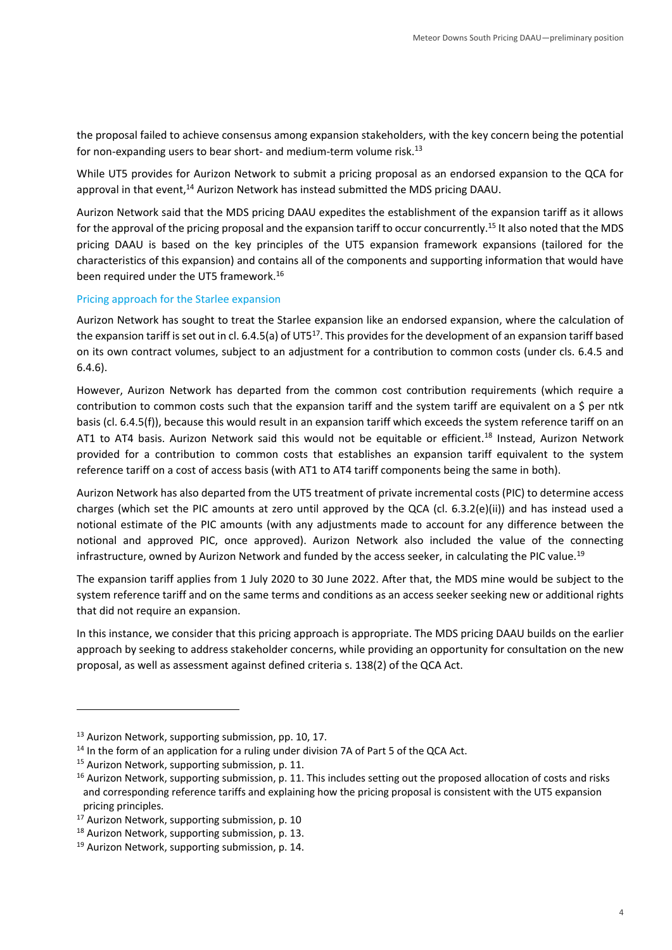the proposal failed to achieve consensus among expansion stakeholders, with the key concern being the potential for non-expanding users to bear short- and medium-term volume risk.<sup>13</sup>

While UT5 provides for Aurizon Network to submit a pricing proposal as an endorsed expansion to the QCA for approval in that event,<sup>14</sup> Aurizon Network has instead submitted the MDS pricing DAAU.

Aurizon Network said that the MDS pricing DAAU expedites the establishment of the expansion tariff as it allows for the approval of the pricing proposal and the expansion tariff to occur concurrently.<sup>15</sup> It also noted that the MDS pricing DAAU is based on the key principles of the UT5 expansion framework expansions (tailored for the characteristics of this expansion) and contains all of the components and supporting information that would have been required under the UT5 framework.<sup>16</sup>

#### Pricing approach for the Starlee expansion

Aurizon Network has sought to treat the Starlee expansion like an endorsed expansion, where the calculation of the expansion tariff is set out in cl. 6.4.5(a) of UT5<sup>17</sup>. This provides for the development of an expansion tariff based on its own contract volumes, subject to an adjustment for a contribution to common costs (under cls. 6.4.5 and 6.4.6).

However, Aurizon Network has departed from the common cost contribution requirements (which require a contribution to common costs such that the expansion tariff and the system tariff are equivalent on a \$ per ntk basis (cl. 6.4.5(f)), because this would result in an expansion tariff which exceeds the system reference tariff on an AT1 to AT4 basis. Aurizon Network said this would not be equitable or efficient.<sup>18</sup> Instead, Aurizon Network provided for a contribution to common costs that establishes an expansion tariff equivalent to the system reference tariff on a cost of access basis (with AT1 to AT4 tariff components being the same in both).

Aurizon Network has also departed from the UT5 treatment of private incremental costs (PIC) to determine access charges (which set the PIC amounts at zero until approved by the QCA (cl. 6.3.2(e)(ii)) and has instead used a notional estimate of the PIC amounts (with any adjustments made to account for any difference between the notional and approved PIC, once approved). Aurizon Network also included the value of the connecting infrastructure, owned by Aurizon Network and funded by the access seeker, in calculating the PIC value.<sup>19</sup>

The expansion tariff applies from 1 July 2020 to 30 June 2022. After that, the MDS mine would be subject to the system reference tariff and on the same terms and conditions as an access seeker seeking new or additional rights that did not require an expansion.

In this instance, we consider that this pricing approach is appropriate. The MDS pricing DAAU builds on the earlier approach by seeking to address stakeholder concerns, while providing an opportunity for consultation on the new proposal, as well as assessment against defined criteria s. 138(2) of the QCA Act.

<sup>&</sup>lt;sup>13</sup> Aurizon Network, supporting submission, pp. 10, 17.

<sup>&</sup>lt;sup>14</sup> In the form of an application for a ruling under division 7A of Part 5 of the QCA Act.

<sup>&</sup>lt;sup>15</sup> Aurizon Network, supporting submission, p. 11.

<sup>&</sup>lt;sup>16</sup> Aurizon Network, supporting submission, p. 11. This includes setting out the proposed allocation of costs and risks and corresponding reference tariffs and explaining how the pricing proposal is consistent with the UT5 expansion pricing principles.

<sup>&</sup>lt;sup>17</sup> Aurizon Network, supporting submission, p. 10

<sup>&</sup>lt;sup>18</sup> Aurizon Network, supporting submission, p. 13.

<sup>&</sup>lt;sup>19</sup> Aurizon Network, supporting submission, p. 14.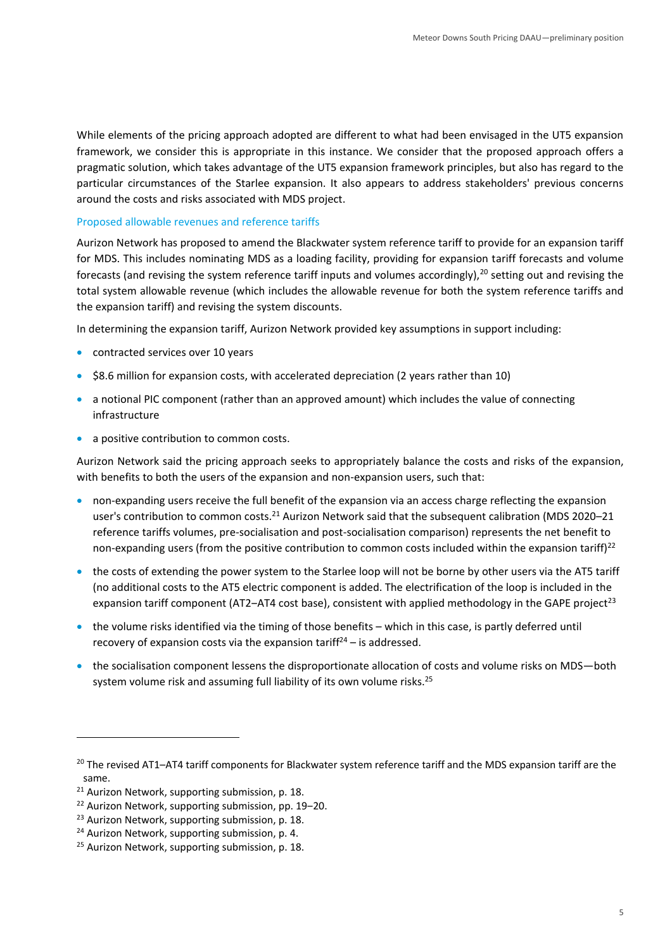While elements of the pricing approach adopted are different to what had been envisaged in the UT5 expansion framework, we consider this is appropriate in this instance. We consider that the proposed approach offers a pragmatic solution, which takes advantage of the UT5 expansion framework principles, but also has regard to the particular circumstances of the Starlee expansion. It also appears to address stakeholders' previous concerns around the costs and risks associated with MDS project.

#### Proposed allowable revenues and reference tariffs

Aurizon Network has proposed to amend the Blackwater system reference tariff to provide for an expansion tariff for MDS. This includes nominating MDS as a loading facility, providing for expansion tariff forecasts and volume forecasts (and revising the system reference tariff inputs and volumes accordingly),  $^{20}$  setting out and revising the total system allowable revenue (which includes the allowable revenue for both the system reference tariffs and the expansion tariff) and revising the system discounts.

In determining the expansion tariff, Aurizon Network provided key assumptions in support including:

- contracted services over 10 years
- \$8.6 million for expansion costs, with accelerated depreciation (2 years rather than 10)
- a notional PIC component (rather than an approved amount) which includes the value of connecting infrastructure
- a positive contribution to common costs.

Aurizon Network said the pricing approach seeks to appropriately balance the costs and risks of the expansion, with benefits to both the users of the expansion and non-expansion users, such that:

- non-expanding users receive the full benefit of the expansion via an access charge reflecting the expansion user's contribution to common costs.<sup>21</sup> Aurizon Network said that the subsequent calibration (MDS 2020–21 reference tariffs volumes, pre-socialisation and post-socialisation comparison) represents the net benefit to non-expanding users (from the positive contribution to common costs included within the expansion tariff) $^{22}$
- the costs of extending the power system to the Starlee loop will not be borne by other users via the AT5 tariff (no additional costs to the AT5 electric component is added. The electrification of the loop is included in the expansion tariff component (AT2-AT4 cost base), consistent with applied methodology in the GAPE project<sup>23</sup>
- the volume risks identified via the timing of those benefits which in this case, is partly deferred until recovery of expansion costs via the expansion tariff<sup>24</sup> – is addressed.
- the socialisation component lessens the disproportionate allocation of costs and volume risks on MDS—both system volume risk and assuming full liability of its own volume risks.<sup>25</sup>

<sup>&</sup>lt;sup>20</sup> The revised AT1-AT4 tariff components for Blackwater system reference tariff and the MDS expansion tariff are the same.

<sup>&</sup>lt;sup>21</sup> Aurizon Network, supporting submission, p. 18.

<sup>&</sup>lt;sup>22</sup> Aurizon Network, supporting submission, pp. 19-20.

<sup>&</sup>lt;sup>23</sup> Aurizon Network, supporting submission, p. 18.

<sup>&</sup>lt;sup>24</sup> Aurizon Network, supporting submission, p. 4.

<sup>&</sup>lt;sup>25</sup> Aurizon Network, supporting submission, p. 18.